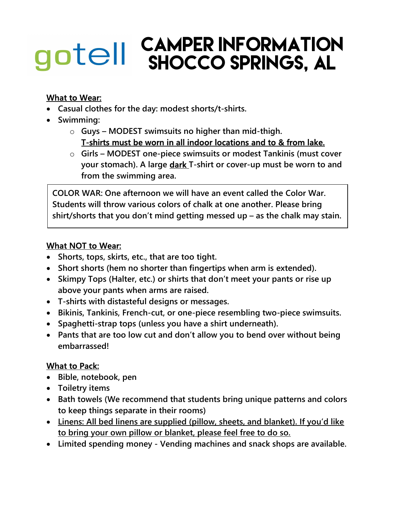# CAMPER INFORMATION gotell SHOCCO SPRINGS, AL

#### What to Wear:

- Casual clothes for the day: modest shorts/t-shirts.
- Swimming:
	- $\circ$  Guys MODEST swimsuits no higher than mid-thigh. T-shirts must be worn in all indoor locations and to & from lake.
	- o Girls MODEST one-piece swimsuits or modest Tankinis (must cover your stomach). A large dark T-shirt or cover-up must be worn to and from the swimming area.

COLOR WAR: One afternoon we will have an event called the Color War. Students will throw various colors of chalk at one another. Please bring shirt/shorts that you don't mind getting messed up – as the chalk may stain.

#### What NOT to Wear:

- Shorts, tops, skirts, etc., that are too tight.
- Short shorts (hem no shorter than fingertips when arm is extended).
- Skimpy Tops (Halter, etc.) or shirts that don't meet your pants or rise up above your pants when arms are raised.
- T-shirts with distasteful designs or messages.
- Bikinis, Tankinis, French-cut, or one-piece resembling two-piece swimsuits.
- Spaghetti-strap tops (unless you have a shirt underneath).
- Pants that are too low cut and don't allow you to bend over without being embarrassed!

## What to Pack:

- Bible, notebook, pen
- Toiletry items
- Bath towels (We recommend that students bring unique patterns and colors to keep things separate in their rooms)
- Linens: All bed linens are supplied (pillow, sheets, and blanket). If you'd like to bring your own pillow or blanket, please feel free to do so.
- Limited spending money Vending machines and snack shops are available.